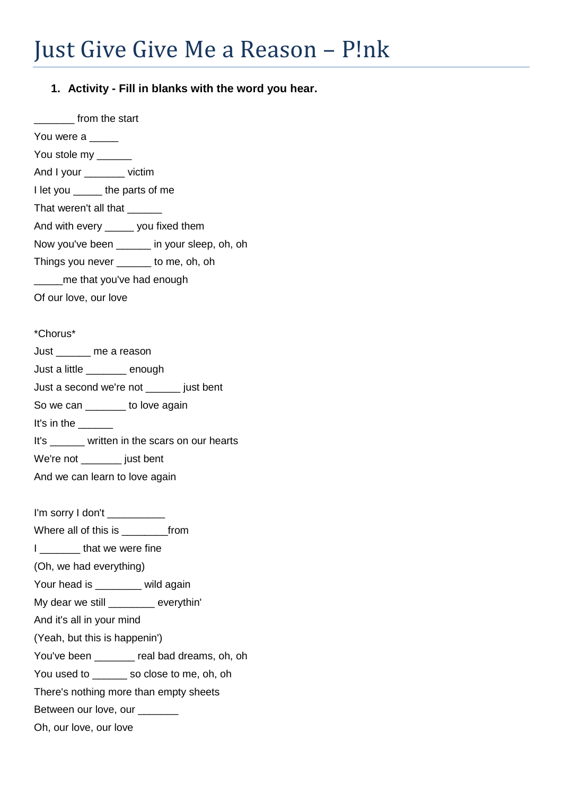## **1. Activity - Fill in blanks with the word you hear.**

\_\_\_\_\_\_\_ from the start You were a You stole my \_\_\_\_\_\_ And I your \_\_\_\_\_\_\_ victim I let you \_\_\_\_\_ the parts of me That weren't all that \_\_\_\_\_\_ And with every \_\_\_\_\_ you fixed them Now you've been \_\_\_\_\_\_ in your sleep, oh, oh Things you never \_\_\_\_\_\_ to me, oh, oh \_\_\_\_\_me that you've had enough Of our love, our love \*Chorus\* Just \_\_\_\_\_\_ me a reason Just a little \_\_\_\_\_\_\_ enough Just a second we're not \_\_\_\_\_\_ just bent So we can **b** to love again It's in the It's \_\_\_\_\_\_ written in the scars on our hearts We're not \_\_\_\_\_\_\_\_ just bent And we can learn to love again I'm sorry I don't

Where all of this is \_\_\_\_\_\_\_\_\_\_from

I **that we were fine** 

(Oh, we had everything)

Your head is **wild again** 

My dear we still \_\_\_\_\_\_\_\_ everythin'

And it's all in your mind

(Yeah, but this is happenin')

You've been **real bad dreams, oh, oh** 

You used to sale so close to me, oh, oh

There's nothing more than empty sheets

Between our love, our

Oh, our love, our love